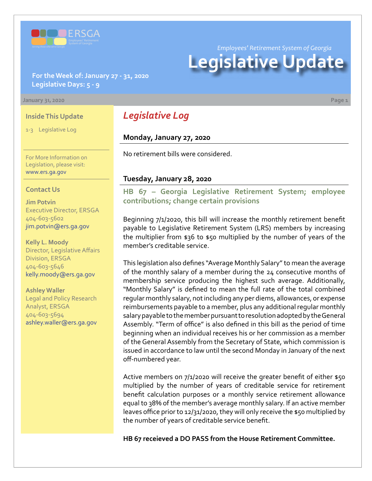

*Employees' Retirement System of Georgia*

# **Legislative Update**

#### **For the Week of: January 27 - 31, 2020 Legislative Days: 5 - 9**

#### **January 31, 2020 Page 1**

#### **Inside This Update**

1-3 Legislative Log

For More Information on Legislation, please visit: [www.ers.ga.gov](http://www.ers.ga.gov/default.aspx)

#### **Contact Us**

**Jim Potvin** Executive Director, ERSGA 404-603-5602 jim.potvin@ers.ga.gov

**Kelly L. Moody** Director, Legislative Affairs Division, ERSGA 404-603-5646 kelly.moody@ers.ga.gov

**Ashley Waller** Legal and Policy Research Analyst, ERSGA 404-603-5694 ashley.waller@ers.ga.gov

## *Legislative Log*

#### **Monday, January 27, 2020**

No retirement bills were considered.

#### **Tuesday, January 28, 2020**

**[HB 67 – Georgia Legislative Retirement System; employee](http://www.legis.ga.gov/legislation/en-US/Display/20192020/HB/67)  contributions; change certain provisions**

Beginning 7/1/2020, this bill will increase the monthly retirement benefit payable to Legislative Retirement System (LRS) members by increasing the multiplier from \$36 to \$50 multiplied by the number of years of the member's creditable service.

This legislation also defines "Average Monthly Salary" to mean the average of the monthly salary of a member during the 24 consecutive months of membership service producing the highest such average. Additionally, "Monthly Salary" is defined to mean the full rate of the total combined regular monthly salary, not including any per diems, allowances, or expense reimbursements payable to a member, plus any additional regular monthly salary payable to the member pursuant to resolution adopted by the General Assembly. "Term of office" is also defined in this bill as the period of time beginning when an individual receives his or her commission as a member of the General Assembly from the Secretary of State, which commission is issued in accordance to law until the second Monday in January of the next off-numbered year.

Active members on 7/1/2020 will receive the greater benefit of either \$50 multiplied by the number of years of creditable service for retirement benefit calculation purposes or a monthly service retirement allowance equal to 38% of the member's average monthly salary. If an active member leaves office prior to 12/31/2020, they will only receive the \$50 multiplied by the number of years of creditable service benefit.

**HB 67 receieved a DO PASS from the House Retirement Committee.**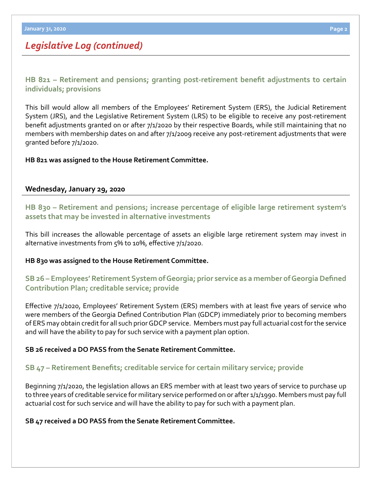# *Legislative Log (continued)*

**[HB 821](http://www.legis.ga.gov/legislation/en-US/Display/20192020/HB/821) [–](http://www.legis.ga.gov/legislation/en-US/Display/20192020/SB/14) [Retirement and pensions; granting post-retirement benefit adjustments to certain](http://www.legis.ga.gov/legislation/en-US/Display/20192020/HB/821)  individuals; provisions**

This bill would allow all members of the Employees' Retirement System (ERS), the Judicial Retirement System (JRS), and the Legislative Retirement System (LRS) to be eligible to receive any post-retirement benefit adjustments granted on or after 7/1/2020 by their respective Boards, while still maintaining that no members with membership dates on and after 7/1/2009 receive any post-retirement adjustments that were granted before 7/1/2020.

#### **HB 821 was assigned to the House Retirement Committee.**

#### **Wednesday, January 29, 2020**

**[HB 830 – Retirement and pensions; increase percentage of eligible large retirement system's](http://www.legis.ga.gov/legislation/en-US/Display/20192020/HB/830)  assets that may be invested in alternative investments**

This bill increases the allowable percentage of assets an eligible large retirement system may invest in alternative investments from 5% to 10%, effective 7/1/2020.

#### **HB 830 was assigned to the House Retirement Committee.**

### **[SB 26 – Employees' Retirement System of Georgia; prior service as a member of Georgia Defined](http://www.legis.ga.gov/legislation/en-US/Display/20192020/SB/26)  Contribution Plan; creditable service; provide**

Effective 7/1/2020, Employees' Retirement System (ERS) members with at least five years of service who were members of the Georgia Defined Contribution Plan (GDCP) immediately prior to becoming members of ERS may obtain credit for all such prior GDCP service. Members must pay full actuarial cost for the service and will have the ability to pay for such service with a payment plan option.

#### **SB 26 received a DO PASS from the Senate Retirement Committee.**

#### **[SB](http://www.legis.ga.gov/legislation/en-US/Display/20192020/SB/47) 47 – [Retirement Benefits; creditable service for certain military service; provide](http://www.legis.ga.gov/legislation/en-US/Display/20192020/SB/47)**

Beginning 7/1/2020, the legislation allows an ERS member with at least two years of service to purchase up to three years of creditable service for military service performed on or after 1/1/1990. Members must pay full actuarial cost for such service and will have the ability to pay for such with a payment plan.

#### **SB 47 received a DO PASS from the Senate Retirement Committee.**